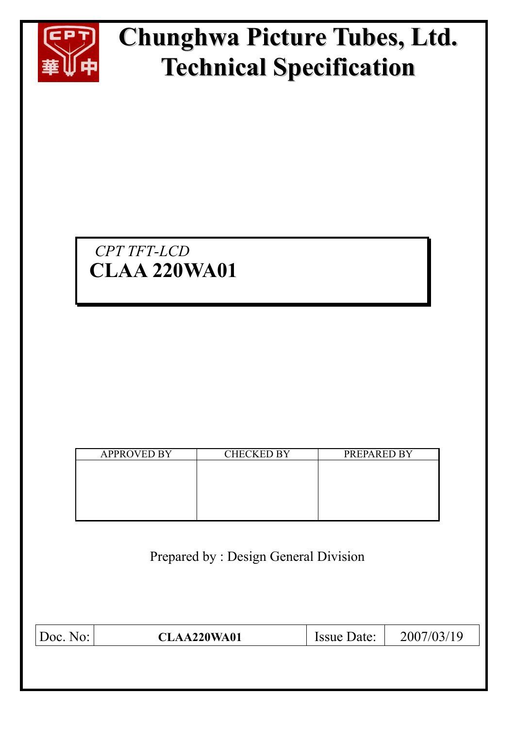

# **Chunghwa Picture Tubes, Ltd. Technical Specification**

## *CPT TFT-LCD*  **CLAA 220WA01**

| <b>APPROVED BY</b> | <b>CHECKED BY</b> | PREPARED BY |
|--------------------|-------------------|-------------|
|                    |                   |             |
|                    |                   |             |
|                    |                   |             |
|                    |                   |             |
|                    |                   |             |

Prepared by : Design General Division

| Doc. No: | <b>CLAA220WA01</b> | Issue Date: | 2007/03/19 |
|----------|--------------------|-------------|------------|
|          |                    |             |            |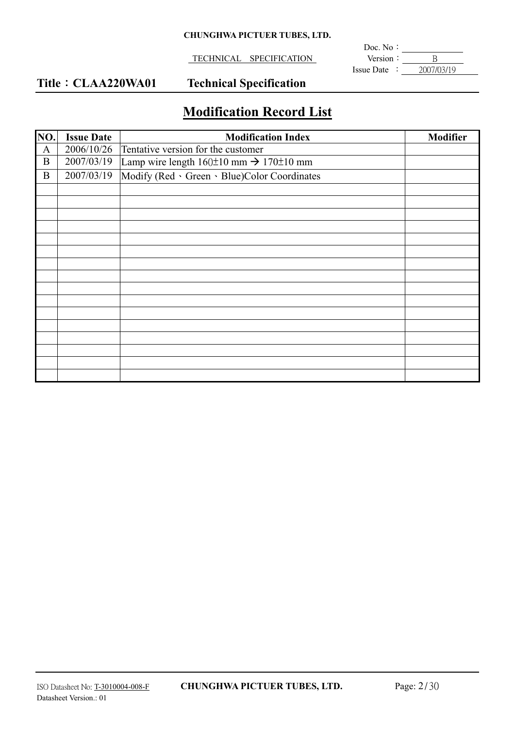#### **CHUNGHWA PICTUER TUBES, LTD.**

**TECHNICAL SPECIFICATION** 

**Doc.** No:  $\text{Issue Date} : \quad 2007/03/19$ 

### Title: CLAA220WA01 Technical Specification

## **Modification Record List**

| NO.          | <b>Issue Date</b> | <b>Modification Index</b>                                   | <b>Modifier</b> |
|--------------|-------------------|-------------------------------------------------------------|-----------------|
| $\mathbf{A}$ | 2006/10/26        | Tentative version for the customer                          |                 |
| $\mathbf B$  | 2007/03/19        | Lamp wire length $160\pm10$ mm $\rightarrow$ 170 $\pm10$ mm |                 |
| $\mathbf{B}$ | 2007/03/19        | Modify (Red · Green · Blue)Color Coordinates                |                 |
|              |                   |                                                             |                 |
|              |                   |                                                             |                 |
|              |                   |                                                             |                 |
|              |                   |                                                             |                 |
|              |                   |                                                             |                 |
|              |                   |                                                             |                 |
|              |                   |                                                             |                 |
|              |                   |                                                             |                 |
|              |                   |                                                             |                 |
|              |                   |                                                             |                 |
|              |                   |                                                             |                 |
|              |                   |                                                             |                 |
|              |                   |                                                             |                 |
|              |                   |                                                             |                 |
|              |                   |                                                             |                 |
|              |                   |                                                             |                 |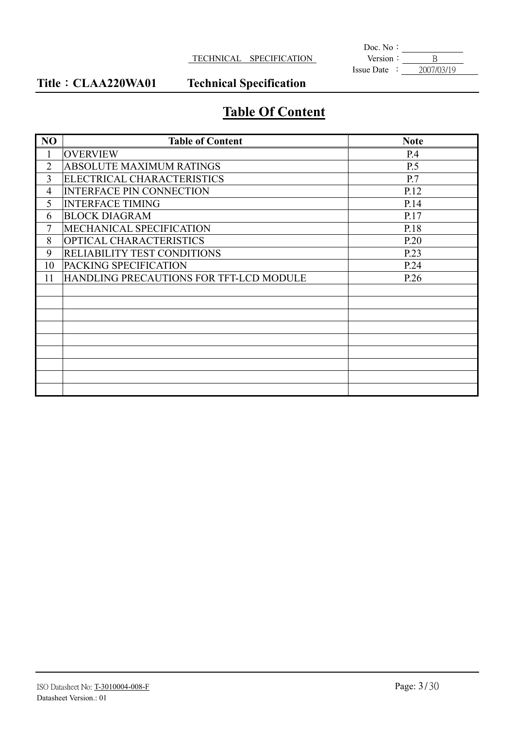#### **TECHNICAL SPECIFICATION**

**Doc.** No:  $\text{Issue Date} : \quad 2007/03/19$ 

Title : CLAA220WA01 Technical Specification

## **Table Of Content**

| N <sub>O</sub> | <b>Table of Content</b>                 | <b>Note</b> |
|----------------|-----------------------------------------|-------------|
| $\mathbf{1}$   | <b>OVERVIEW</b>                         | P.4         |
| $\overline{2}$ | <b>ABSOLUTE MAXIMUM RATINGS</b>         | <b>P.5</b>  |
| 3              | ELECTRICAL CHARACTERISTICS              | P.7         |
| 4              | <b>INTERFACE PIN CONNECTION</b>         | P.12        |
| 5              | <b>INTERFACE TIMING</b>                 | P.14        |
| 6              | <b>BLOCK DIAGRAM</b>                    | P.17        |
| 7              | MECHANICAL SPECIFICATION                | P.18        |
| 8              | <b>OPTICAL CHARACTERISTICS</b>          | P.20        |
| 9              | <b>RELIABILITY TEST CONDITIONS</b>      | P.23        |
| 10             | PACKING SPECIFICATION                   | P.24        |
| 11             | HANDLING PRECAUTIONS FOR TFT-LCD MODULE | P.26        |
|                |                                         |             |
|                |                                         |             |
|                |                                         |             |
|                |                                         |             |
|                |                                         |             |
|                |                                         |             |
|                |                                         |             |
|                |                                         |             |
|                |                                         |             |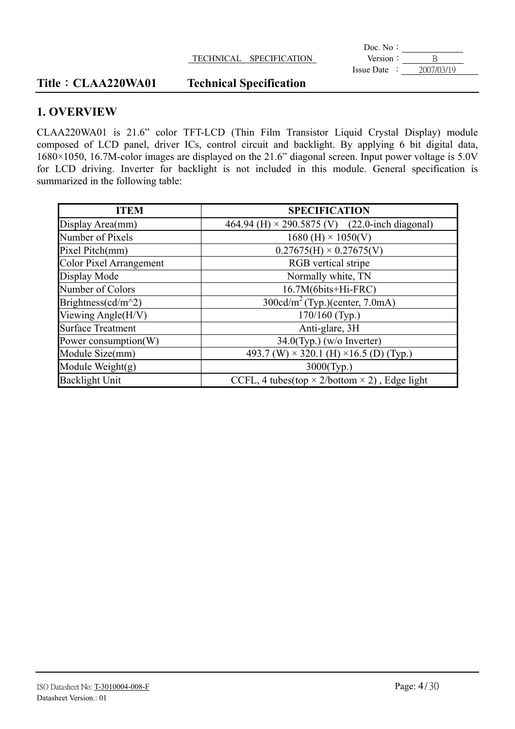|            | Doc. No:          |                      |                  |
|------------|-------------------|----------------------|------------------|
|            | Version           | <b>SPECIFICATION</b> | <b>TECHNICAL</b> |
| 2007/03/19 | <b>Issue Date</b> |                      |                  |

#### Title: CLAA220WA01 Technical Specification

#### **1. OVERVIEW**

CLAA220WA01 is 21.6" color TFT-LCD (Thin Film Transistor Liquid Crystal Display) module composed of LCD panel, driver ICs, control circuit and backlight. By applying 6 bit digital data, 1680×1050, 16.7M-color images are displayed on the 21.6" diagonal screen. Input power voltage is 5.0V for LCD driving. Inverter for backlight is not included in this module. General specification is summarized in the following table:

| <b>ITEM</b>                    | <b>SPECIFICATION</b>                                        |
|--------------------------------|-------------------------------------------------------------|
| Display Area(mm)               | 464.94 (H) $\times$ 290.5875 (V) (22.0-inch diagonal)       |
| Number of Pixels               | $1680$ (H) $\times$ 1050(V)                                 |
| Pixel Pitch(mm)                | $0.27675(H) \times 0.27675(V)$                              |
| <b>Color Pixel Arrangement</b> | RGB vertical stripe                                         |
| Display Mode                   | Normally white, TN                                          |
| Number of Colors               | 16.7M(6bits+Hi-FRC)                                         |
| Brightness(cd/m^2)             | $300 \text{cd/m}^2$ (Typ.)(center, 7.0mA)                   |
| Viewing Angle(H/V)             | 170/160 (Typ.)                                              |
| <b>Surface Treatment</b>       | Anti-glare, 3H                                              |
| Power consumption(W)           | $34.0$ (Typ.) (w/o Inverter)                                |
| Module Size(mm)                | 493.7 (W) $\times$ 320.1 (H) $\times$ 16.5 (D) (Typ.)       |
| Module Weight $(g)$            | $3000$ (Typ.)                                               |
| <b>Backlight Unit</b>          | CCFL, 4 tubes(top $\times$ 2/bottom $\times$ 2), Edge light |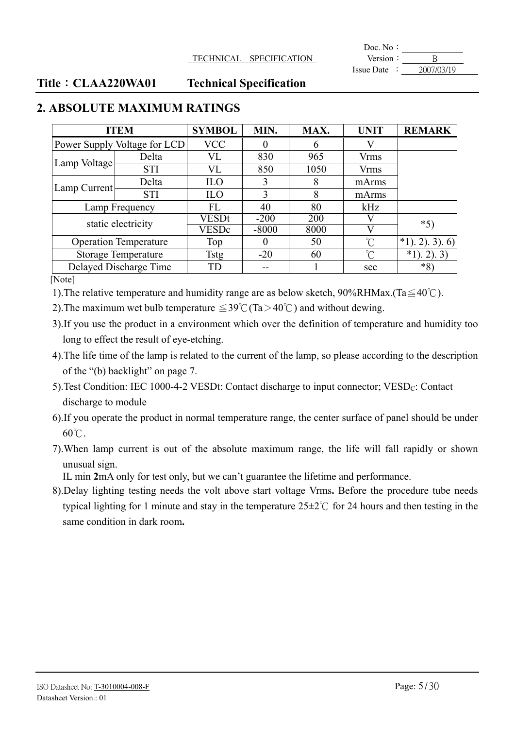**Doc.** No: Issue Date : 2007/03/19

#### Title: CLAA220WA01 Technical Specification

| <b>ITEM</b>                  |                              | <b>SYMBOL</b> | MIN.    | MAX. | <b>UNIT</b>         | <b>REMARK</b>      |
|------------------------------|------------------------------|---------------|---------|------|---------------------|--------------------|
|                              | Power Supply Voltage for LCD | <b>VCC</b>    |         | 6    |                     |                    |
| Lamp Voltage                 | Delta                        | VL            | 830     | 965  | <b>Vrms</b>         |                    |
|                              | <b>STI</b>                   | VL            | 850     | 1050 | <b>Vrms</b>         |                    |
|                              | Delta                        | <b>ILO</b>    |         | 8    | mArms               |                    |
| Lamp Current                 | <b>STI</b>                   | <b>ILO</b>    | 3       | 8    | mArms               |                    |
| Lamp Frequency               |                              | FL            | 40      | 80   | kHz                 |                    |
|                              | static electricity           | VESDt         | $-200$  | 200  |                     | $*5$               |
|                              |                              | <b>VESDc</b>  | $-8000$ | 8000 | V                   |                    |
| <b>Operation Temperature</b> |                              | Top           |         | 50   | $\hat{C}$           | $*1)$ , 2), 3), 6) |
| <b>Storage Temperature</b>   |                              | Tstg          | $-20$   | 60   | $\int_{0}^{\infty}$ | $*1)$ , 2), 3)     |
|                              | Delayed Discharge Time       | TD            | --      |      | sec                 | $*8$               |

#### **2. ABSOLUTE MAXIMUM RATINGS**

[Note]

1). The relative temperature and humidity range are as below sketch,  $90\%RHMax$ . (Ta $\leq 40^{\circ}$ C).

2). The maximum wet bulb temperature  $\leq 39^{\circ}$ C (Ta > 40°C) and without dewing.

3).If you use the product in a environment which over the definition of temperature and humidity too long to effect the result of eye-etching.

4).The life time of the lamp is related to the current of the lamp, so please according to the description of the "(b) backlight" on page 7.

- 5). Test Condition: IEC 1000-4-2 VESDt: Contact discharge to input connector;  $VESD<sub>C</sub>$ : Contact discharge to module
- 6).If you operate the product in normal temperature range, the center surface of panel should be under  $60^{\circ}$ C.
- 7).When lamp current is out of the absolute maximum range, the life will fall rapidly or shown unusual sign.

IL min **2**mA only for test only, but we can't guarantee the lifetime and performance.

8).Delay lighting testing needs the volt above start voltage Vrms**.** Before the procedure tube needs typical lighting for 1 minute and stay in the temperature  $25\pm2\degree$  for 24 hours and then testing in the same condition in dark room**.**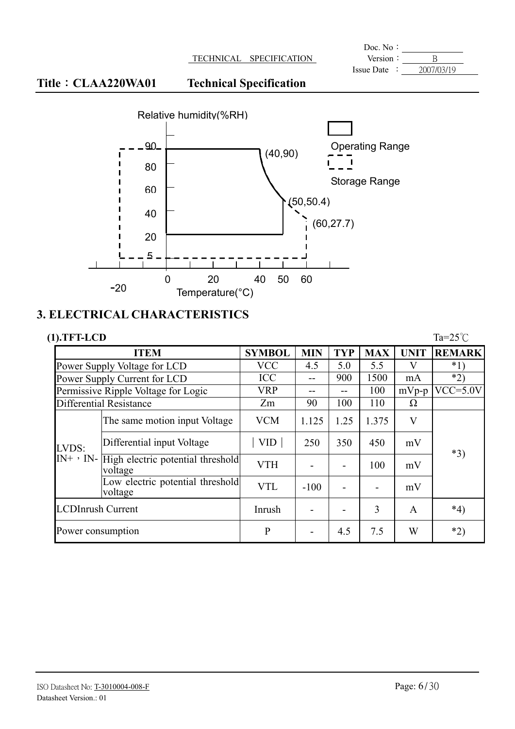**Doc.** No: Issue Date  $\cdot$   $\overline{\hspace{1.5cm}2007/03/19}$ 

### Title: CLAA220WA01 Technical Specification



#### **3. ELECTRICAL CHARACTERISTICS**

| $(1).TFT-LCD$            |                                                                |               |                          |            |            |             | Ta= $25^{\circ}$ C |
|--------------------------|----------------------------------------------------------------|---------------|--------------------------|------------|------------|-------------|--------------------|
|                          | <b>ITEM</b>                                                    | <b>SYMBOL</b> | <b>MIN</b>               | <b>TYP</b> | <b>MAX</b> | <b>UNIT</b> | <b>REMARK</b>      |
|                          | Power Supply Voltage for LCD                                   | <b>VCC</b>    | 4.5                      | 5.0        | 5.5        | V           | $*1)$              |
|                          | Power Supply Current for LCD                                   | <b>ICC</b>    | --                       | 900        | 1500       | mA          | $*2)$              |
|                          | Permissive Ripple Voltage for Logic                            | <b>VRP</b>    | --                       |            | 100        | $mVp-p$     | $VCC = 5.0V$       |
|                          | Differential Resistance                                        | Zm            | 90                       | 100        | 110        | Ω           |                    |
|                          | The same motion input Voltage                                  | <b>VCM</b>    | 1.125                    | 1.25       | 1.375      | V           |                    |
| LVDS:                    | Differential input Voltage                                     | <b>VID</b>    | 250                      | 350        | 450        | mV          |                    |
|                          | $[N^+ \cdot N^-]$ High electric potential threshold<br>voltage | <b>VTH</b>    |                          |            | 100        | mV          | $*3)$              |
|                          | Low electric potential threshold<br>voltage                    | <b>VTL</b>    | $-100$                   |            |            | mV          |                    |
| <b>LCDInrush Current</b> |                                                                | Inrush        |                          |            | 3          | A           | $*_{4}$            |
| Power consumption        |                                                                | $\mathbf{P}$  | $\overline{\phantom{0}}$ | 4.5        | 7.5        | W           | $*2)$              |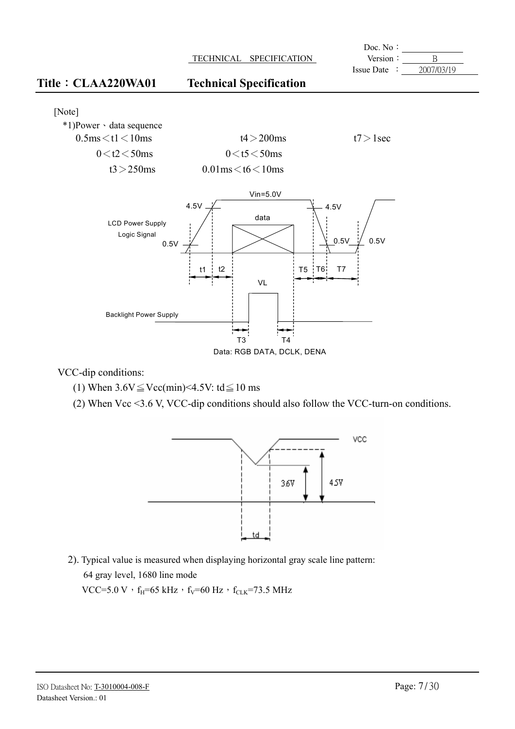

Data: RGB DATA, DCLK, DENA

VCC-dip conditions:

- (1) When  $3.6V \leq Vcc(min) < 4.5V$ : td $\leq 10$  ms
- (2) When Vcc <3.6 V, VCC-dip conditions should also follow the VCC-turn-on conditions.



2). Typical value is measured when displaying horizontal gray scale line pattern: 64 gray level, 1680 line mode

VCC=5.0 V  $\cdot$  f<sub>H</sub>=65 kHz  $\cdot$  f<sub>V</sub>=60 Hz  $\cdot$  f<sub>CLK</sub>=73.5 MHz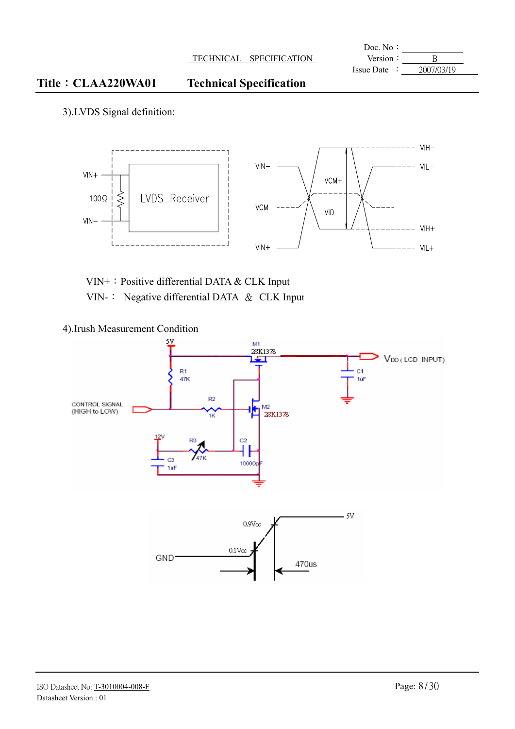#### Title CLAA220WA01 Technical Specification

3).LVDS Signal definition:



VIN+: Positive differential DATA & CLK Input VIN-: Negative differential DATA & CLK Input

4).Irush Measurement Condition

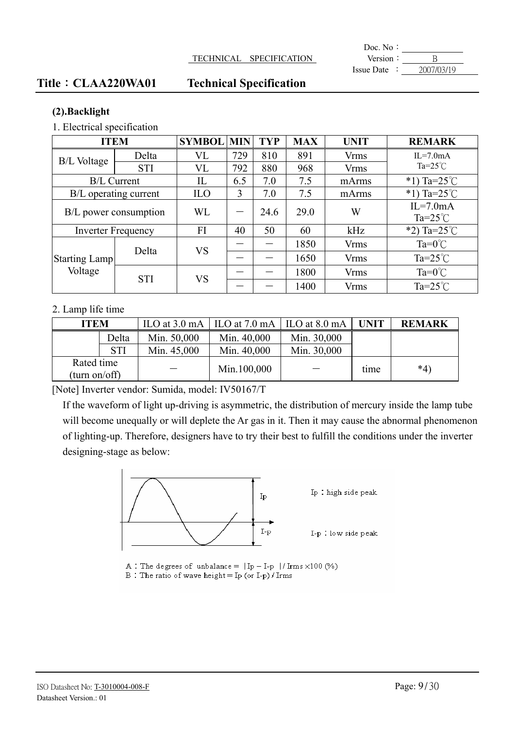#### TECHNICAL SPECIFICATION **Version:** B

**Doc.** No: Issue Date :  $2007/03/19$ 

#### Title: CLAA220WA01 Technical Specification

#### **(2).Backlight**

1. Electrical specification

| <b>ITEM</b>                     |            | <b>SYMBOL</b> | <b>MIN</b> | TYP       | <b>MAX</b> | <b>UNIT</b> | <b>REMARK</b>          |             |                    |
|---------------------------------|------------|---------------|------------|-----------|------------|-------------|------------------------|-------------|--------------------|
| <b>B/L Voltage</b>              | Delta      | <b>VL</b>     | 729        | 810       | 891        | <b>Vrms</b> | $IL=7.0mA$             |             |                    |
|                                 | <b>STI</b> | VL            | 792        | 880       | 968        | <b>Vrms</b> | Ta= $25^{\circ}$ C     |             |                    |
| <b>B/L Current</b>              |            | IL            | 6.5        | 7.0       | 7.5        | mArms       | *1) Ta= $25^{\circ}$ C |             |                    |
| B/L operating current           |            | <b>ILO</b>    | 3          | 7.0       | 7.5        | mArms       | *1) Ta= $25^{\circ}$ C |             |                    |
| B/L power consumption           |            | WL            |            | 24.6      | 29.0       | W           | $IL=7.0mA$             |             |                    |
|                                 |            |               |            |           |            |             | $Ta=25^{\circ}C$       |             |                    |
| <b>Inverter Frequency</b>       |            | FI            | 40         | 50        | 60         | kHz         | *2) Ta= $25^{\circ}$ C |             |                    |
|                                 | Delta      |               |            | <b>VS</b> |            |             | 1850                   | <b>Vrms</b> | $Ta=0^{\circ}C$    |
| <b>Starting Lamp</b><br>Voltage |            |               |            |           | 1650       | <b>Vrms</b> | $Ta=25^{\circ}C$       |             |                    |
|                                 | <b>STI</b> | <b>VS</b>     |            |           | 1800       | <b>Vrms</b> | $Ta=0^{\circ}C$        |             |                    |
|                                 |            |               |            |           |            |             | 1400                   | <b>Vrms</b> | Ta= $25^{\circ}$ C |

#### 2. Lamp life time

| <b>ITEM</b>                 |            |             | ILO at $3.0 \text{ mA}$   ILO at $7.0 \text{ mA}$   ILO at $8.0 \text{ mA}$ |             | <b>UNIT</b> | <b>REMARK</b> |
|-----------------------------|------------|-------------|-----------------------------------------------------------------------------|-------------|-------------|---------------|
|                             | Delta      | Min. 50,000 | Min. 40,000                                                                 | Min. 30,000 |             |               |
|                             | <b>STI</b> | Min. 45,000 | Min. 40,000                                                                 | Min. 30,000 |             |               |
| Rated time<br>(turn on/off) |            |             | Min.100,000                                                                 |             | time        | $*_{4}$       |

[Note] Inverter vendor: Sumida, model: IV50167/T

If the waveform of light up-driving is asymmetric, the distribution of mercury inside the lamp tube will become unequally or will deplete the Ar gas in it. Then it may cause the abnormal phenomenon of lighting-up. Therefore, designers have to try their best to fulfill the conditions under the inverter designing-stage as below:



A : The degrees of unbalance =  $|Ip - I-p| / Irms \times 100$  (%)

B: The ratio of wave height = Ip (or I-p) / Irms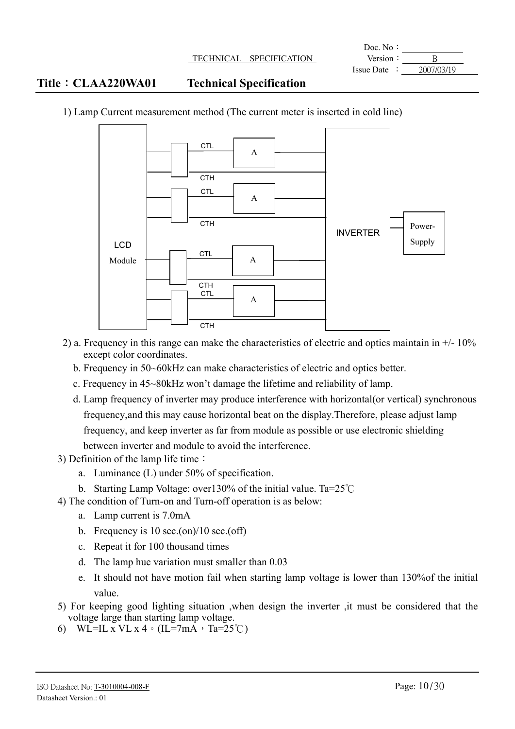|                            |                                | Doc. No:        |            |
|----------------------------|--------------------------------|-----------------|------------|
|                            | TECHNICAL SPECIFICATION        | Version:        |            |
|                            |                                | $I$ ssue Date : | 2007/03/19 |
| <b>Title : CLAA220WA01</b> | <b>Technical Specification</b> |                 |            |



1) Lamp Current measurement method (The current meter is inserted in cold line)

- 2) a. Frequency in this range can make the characteristics of electric and optics maintain in  $+/-10\%$ except color coordinates.
	- b. Frequency in 50~60kHz can make characteristics of electric and optics better.
	- c. Frequency in 45~80kHz won't damage the lifetime and reliability of lamp.
	- d. Lamp frequency of inverter may produce interference with horizontal(or vertical) synchronous frequency,and this may cause horizontal beat on the display.Therefore, please adjust lamp frequency, and keep inverter as far from module as possible or use electronic shielding between inverter and module to avoid the interference.
- 3) Definition of the lamp life time  $\colon$ 
	- a. Luminance (L) under 50% of specification.
	- b. Starting Lamp Voltage: over 130% of the initial value. Ta= $25^{\circ}$ C
- 4) The condition of Turn-on and Turn-off operation is as below:
	- a. Lamp current is 7.0mA
	- b. Frequency is  $10 \text{ sec.}$ (on)/ $10 \text{ sec.}$ (off)
	- c. Repeat it for 100 thousand times
	- d. The lamp hue variation must smaller than 0.03
	- e. It should not have motion fail when starting lamp voltage is lower than 130%of the initial value.
- 5) For keeping good lighting situation ,when design the inverter ,it must be considered that the voltage large than starting lamp voltage.
- 6) WL=IL x VL x 4  $\circ$  (IL=7mA, Ta=25°C)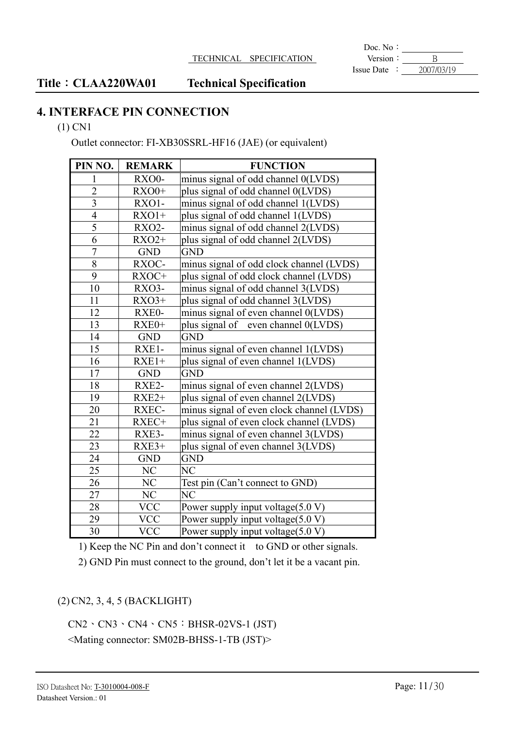**Doc.** No: Version  $\frac{\cdot}{\cdot}$  B<br>Issue Date  $\cdot \frac{\cdot}{\cdot}$   $\frac{B}{2007/03/19}$ 

#### Title: CLAA220WA01 Technical Specification

### **4. INTERFACE PIN CONNECTION**

#### (1) CN1

Outlet connector: FI-XB30SSRL-HF16 (JAE) (or equivalent)

| PIN NO.                 | <b>REMARK</b> | <b>FUNCTION</b>                           |
|-------------------------|---------------|-------------------------------------------|
| 1                       | RXO0-         | minus signal of odd channel 0(LVDS)       |
| $\overline{2}$          | $RXO0+$       | plus signal of odd channel 0(LVDS)        |
| $\overline{\mathbf{3}}$ | RXO1-         | minus signal of odd channel 1(LVDS)       |
| $\overline{4}$          | $RXO1+$       | plus signal of odd channel 1(LVDS)        |
| 5                       | <b>RXO2-</b>  | minus signal of odd channel 2(LVDS)       |
| 6                       | $RXO2+$       | plus signal of odd channel 2(LVDS)        |
| $\overline{7}$          | <b>GND</b>    | <b>GND</b>                                |
| $\overline{8}$          | RXOC-         | minus signal of odd clock channel (LVDS)  |
| 9                       | RXOC+         | plus signal of odd clock channel (LVDS)   |
| 10                      | RXO3-         | minus signal of odd channel 3(LVDS)       |
| 11                      | $RXO3+$       | plus signal of odd channel 3(LVDS)        |
| 12                      | RXE0-         | minus signal of even channel 0(LVDS)      |
| 13                      | RXE0+         | plus signal of even channel 0(LVDS)       |
| 14                      | <b>GND</b>    | <b>GND</b>                                |
| 15                      | RXE1-         | minus signal of even channel 1(LVDS)      |
| 16                      | $RXE1+$       | plus signal of even channel 1(LVDS)       |
| 17                      | <b>GND</b>    | <b>GND</b>                                |
| 18                      | RXE2-         | minus signal of even channel 2(LVDS)      |
| 19                      | $RXE2+$       | plus signal of even channel 2(LVDS)       |
| 20                      | RXEC-         | minus signal of even clock channel (LVDS) |
| 21                      | RXEC+         | plus signal of even clock channel (LVDS)  |
| 22                      | RXE3-         | minus signal of even channel 3(LVDS)      |
| 23                      | $RXE3+$       | plus signal of even channel 3(LVDS)       |
| 24                      | <b>GND</b>    | <b>GND</b>                                |
| 25                      | NC            | N <sub>C</sub>                            |
| 26                      | NC            | Test pin (Can't connect to GND)           |
| 27                      | NC            | N <sub>C</sub>                            |
| 28                      | <b>VCC</b>    | Power supply input voltage $(5.0 V)$      |
| 29                      | VCC           | Power supply input voltage(5.0 V)         |
| 30                      | <b>VCC</b>    | Power supply input voltage(5.0 V)         |

1) Keep the NC Pin and don't connect it to GND or other signals.

2) GND Pin must connect to the ground, don't let it be a vacant pin.

#### (2)CN2, 3, 4, 5 (BACKLIGHT)

 $CN2 \cdot CN3 \cdot CN4 \cdot CN5 : BHSR-02VS-1 (JST)$ <Mating connector: SM02B-BHSS-1-TB (JST)>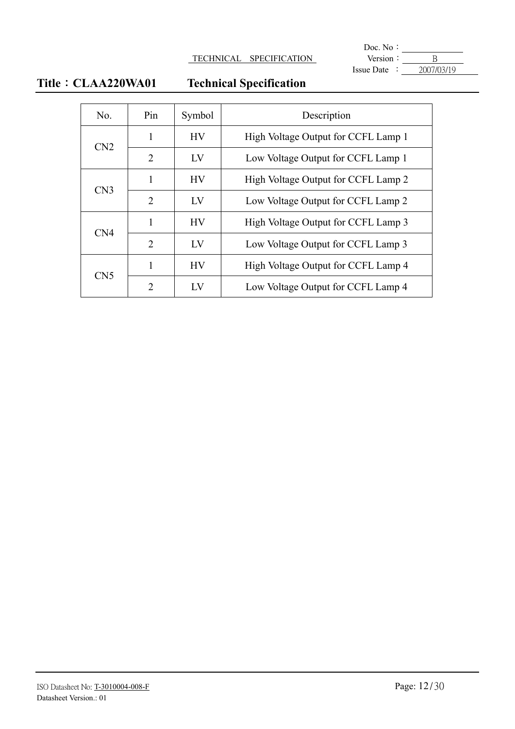#### **TECHNICAL SPECIFICATION**

**Doc.** No:  $\text{Issue Date} : \quad 2007/03/19$ 

## **Title**: CLAA220WA01 Technical Specification

| No.             | Pin            | Symbol    | Description                         |
|-----------------|----------------|-----------|-------------------------------------|
| CN2             | 1              | <b>HV</b> | High Voltage Output for CCFL Lamp 1 |
|                 | 2              | LV        | Low Voltage Output for CCFL Lamp 1  |
| CN <sub>3</sub> | 1              | <b>HV</b> | High Voltage Output for CCFL Lamp 2 |
|                 | $\overline{2}$ | LV        | Low Voltage Output for CCFL Lamp 2  |
| CN <sub>4</sub> | 1              | <b>HV</b> | High Voltage Output for CCFL Lamp 3 |
|                 | $\overline{2}$ | LV        | Low Voltage Output for CCFL Lamp 3  |
|                 | 1              | <b>HV</b> | High Voltage Output for CCFL Lamp 4 |
| CN <sub>5</sub> | $\mathcal{L}$  | $\rm{LV}$ | Low Voltage Output for CCFL Lamp 4  |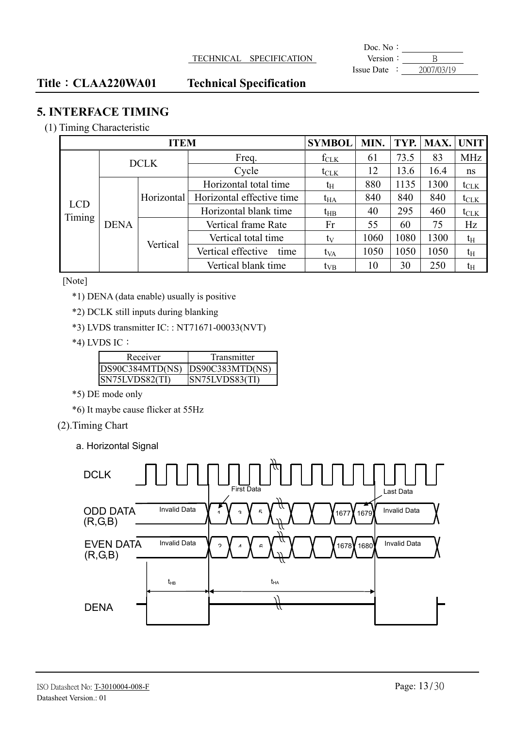#### TECHNICAL SPECIFICATION **Version**: B

**Doc.** No: Issue Date :  $2007/03/19$ 

#### Title: CLAA220WA01 Technical Specification

#### **5. INTERFACE TIMING**

#### (1) Timing Characteristic

|            | <b>SYMBOL</b> | <b>MIN</b>  | TYP.                       | MAX.             | <b>UNIT</b> |      |      |                  |
|------------|---------------|-------------|----------------------------|------------------|-------------|------|------|------------------|
|            |               | <b>DCLK</b> | Freq.                      | $f_{CLK}$        | 61          | 73.5 | 83   | <b>MHz</b>       |
|            |               |             | Cycle                      | $t_{\text{CLK}}$ | 12          | 13.6 | 16.4 | ns               |
|            |               |             | Horizontal total time      | tн               | 880         | 1135 | 1300 | $t_{\text{CLK}}$ |
| <b>LCD</b> |               | Horizontal  | Horizontal effective time  | $t_{HA}$         | 840         | 840  | 840  | $t_{\text{CLK}}$ |
| Timing     |               |             | Horizontal blank time      | $t_{HB}$         | 40          | 295  | 460  | $t_{\text{CLK}}$ |
|            | <b>DENA</b>   | Vertical    | Vertical frame Rate        | Fr               | 55          | 60   | 75   | Hz               |
|            |               |             | Vertical total time        | ty               | 1060        | 1080 | 1300 | $t_{\rm H}$      |
|            |               |             | Vertical effective<br>time | t <sub>VA</sub>  | 1050        | 1050 | 1050 | $t_{\rm H}$      |
|            |               |             | Vertical blank time        | $t_{VB}$         | 10          | 30   | 250  | $t_{\rm H}$      |

#### [Note]

\*1) DENA (data enable) usually is positive

\*2) DCLK still inputs during blanking

\*3) LVDS transmitter IC: : NT71671-00033(NVT)

#### $*$ 4) LVDS IC:

| Receiver        | Transmitter           |
|-----------------|-----------------------|
| DS90C384MTD(NS) | DS90C383MTD(NS)       |
| ISN75LVDS82(TI) | <b>SN75LVDS83(TI)</b> |

\*5) DE mode only

\*6) It maybe cause flicker at 55Hz

#### (2).Timing Chart

a. Horizontal Signal

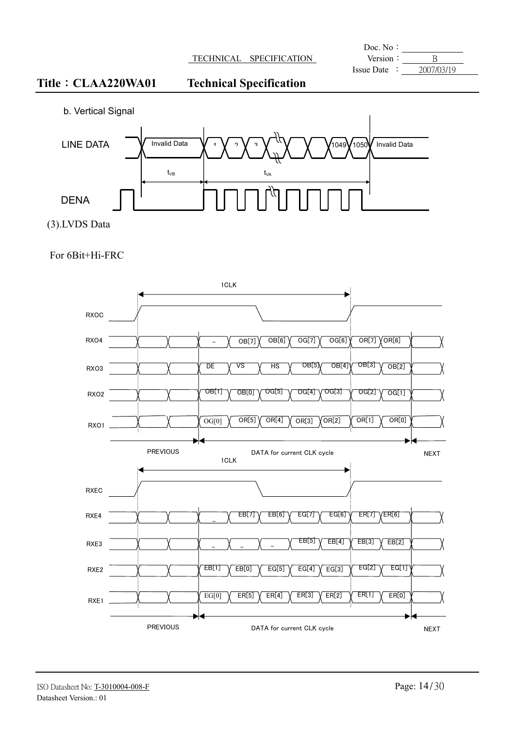#### **TECHNICAL SPECIFICATION**

|            | Doc. No:          |                      |                  |
|------------|-------------------|----------------------|------------------|
|            | Version           | <b>SPECIFICATION</b> | <b>TECHNICAL</b> |
| 2007/03/19 | <b>Issue Date</b> |                      |                  |

### Title: CLAA220WA01 Technical Specification

b. Vertical Signal



(3).LVDS Data

For 6Bit+Hi-FRC

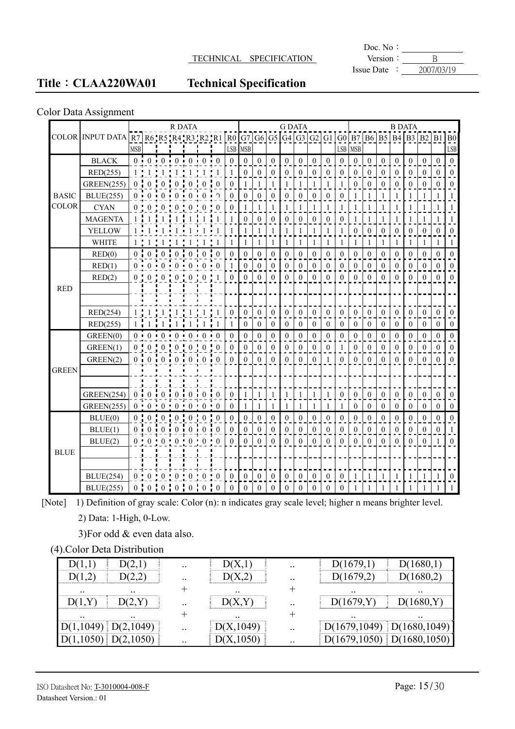#### TECHNICAL SPECIFICATION Version : B

**Doc.** No: Issue Date  $\frac{1}{2007/03/19}$ 

### Title: CLAA220WA01 Technical Specification

#### Color Data Assignment

|              |                                                                                              |                |                |                     | <b>R DATA</b>                   |                      |                |                |                  |                  |                  |                  |                  | <b>G DATA</b>    |              |                |                  |                  |                  |                  |                  | <b>B DATA</b>    |                  |                  |                  |
|--------------|----------------------------------------------------------------------------------------------|----------------|----------------|---------------------|---------------------------------|----------------------|----------------|----------------|------------------|------------------|------------------|------------------|------------------|------------------|--------------|----------------|------------------|------------------|------------------|------------------|------------------|------------------|------------------|------------------|------------------|
|              | COLOR  INPUT DATA $R_7$ R6'R5'R4'R3'R2'R1 $R_0$ G7 G6 G5 G4 G3 G2 G1 G0 B7 B6 B5 B4 B3 B2 B1 |                |                |                     |                                 |                      |                |                |                  |                  |                  |                  |                  |                  |              |                |                  |                  |                  |                  |                  |                  |                  |                  | ${\bf B0}$       |
|              |                                                                                              | <b>MSB</b>     |                |                     |                                 |                      |                |                | LSB              | <b>MSB</b>       |                  |                  |                  |                  |              |                | ${\rm LSB}$      | <b>MSB</b>       |                  |                  |                  |                  |                  |                  | ${\rm LSB}$      |
|              | <b>BLACK</b>                                                                                 |                |                |                     | $0 \t0 \t0 \t0 \t0 \t0 \t0$     |                      |                |                | $\theta$         | $\boldsymbol{0}$ | $\theta$         | $\theta$         | $\boldsymbol{0}$ | $\boldsymbol{0}$ | $\theta$     | $\Omega$       | $\boldsymbol{0}$ | $\theta$         | $\boldsymbol{0}$ | $\mathbf{0}$     | $\boldsymbol{0}$ | $\overline{0}$   | $\theta$         | $\Omega$         | $\mathbf{0}$     |
|              | RED(255)                                                                                     | 1 <sup>1</sup> | 1 <sup>1</sup> | 1 <sup>1</sup>      |                                 | $1 + 1 +$            | $\overline{1}$ |                | $\mathbf{1}$     | $\overline{0}$   | $\theta$         | $\overline{0}$   | $\mathbf{0}$     | $\theta$         | $\theta$     | $\theta$       | $\mathbf{0}$     | $\theta$         | $\theta$         | $\theta$         | $\mathbf{0}$     | $\theta$         | $\theta$         | $\Omega$         | $\overline{0}$   |
|              | <b>GREEN(255)</b>                                                                            | 0:             | $\theta$       | $\mathbf{0}$        | $\mathbf{0}$                    | $\boldsymbol{0}$     | $\mathbf{0}$   | $\overline{0}$ | $\mathbf{0}$     | $\mathbf{1}$     | 1                | 1                | $\mathbf{1}$     | 1                | 1            | 1              | $\mathbf{1}$     | $\overline{0}$   | $\mathbf{0}$     | $\mathbf{0}$     | $\boldsymbol{0}$ | $\overline{0}$   | $\mathbf{0}$     | $\theta$         | $\boldsymbol{0}$ |
| <b>BASIC</b> | <b>BLUE(255)</b>                                                                             |                |                | $0 \cdot 0 \cdot 0$ |                                 | $0 \cdot 0$          | 0 <sub>1</sub> | $\Omega$       | $\theta$         | $\overline{0}$   | $\theta$         | $\theta$         | $\theta$         | $\theta$         | $\theta$     | $\theta$       | $\theta$         | 1                |                  |                  | $\mathbf{1}$     |                  |                  |                  | $\mathbf{1}$     |
| <b>COLOR</b> | <b>CYAN</b>                                                                                  | 0 <sup>1</sup> | 0 <sup>1</sup> | $\Omega$            | $\Omega$                        | л.<br>0 <sup>1</sup> | $\Omega$       | $\Omega$       | $\theta$         | $\mathbf{1}$     | $\mathbf{1}$     | $\mathbf{1}$     | 1                | 1                | $\mathbf{1}$ | $\mathbf{1}$   | $\mathbf{1}$     | 1                | 1                | 1                | $\mathbf{1}$     | 1                | $\mathbf{1}$     | 1                | $\mathbf{1}$     |
|              | <b>MAGENTA</b>                                                                               | 1:             | $\overline{1}$ | $\mathbf{1}$        |                                 |                      |                |                | 1                | $\overline{0}$   | $\mathbf{0}$     | $\mathbf{0}$     | $\theta$         | $\overline{0}$   | $\mathbf{0}$ | $\mathbf{0}$   | $\boldsymbol{0}$ | 1                | 1                | 1                | 1                | 1                | 1                |                  | 1                |
|              | YELLOW                                                                                       |                |                |                     |                                 |                      |                |                |                  |                  |                  |                  |                  |                  |              |                | $\mathbf{1}$     | $\overline{0}$   | $\overline{0}$   | $\mathbf{0}$     | $\mathbf{0}$     | $\boldsymbol{0}$ | $\mathbf{0}$     | $\theta$         | $\boldsymbol{0}$ |
|              | <b>WHITE</b>                                                                                 |                |                |                     |                                 |                      |                |                | 1                | 1                | $\mathbf{1}$     | $\mathbf{1}$     | $\mathbf{1}$     | 1                | $\mathbf{1}$ | 1              | $\mathbf{1}$     | 1                | 1                | 1                | $\mathbf{1}$     | 1                | $\mathbf{1}$     | 1                | $\mathbf{1}$     |
|              | RED(0)                                                                                       | $0\cdot$       | $\theta$       | $\frac{1}{2}$ 0     | $\mathbf{0}$                    | $\mathbf{0}$         | $\overline{0}$ | $\theta$       | $\boldsymbol{0}$ | $\overline{0}$   | $\mathbf{0}$     | $\mathbf{0}$     | 0                | $\overline{0}$   | $\mathbf{0}$ | $\mathbf{0}$   | $\boldsymbol{0}$ | $\overline{0}$   | $\mathbf{0}$     | $\mathbf{0}$     | $\boldsymbol{0}$ | $\overline{0}$   | $\mathbf{0}$     | $\mathbf{0}$     | $\overline{0}$   |
|              | RED(1)                                                                                       |                |                |                     | $0 \t0 \t0 \t0 \t0 \t0 \t0 \t0$ |                      |                |                | $\mathbf{1}$     | $\boldsymbol{0}$ | $\theta$         | $\boldsymbol{0}$ | $\mathbf{0}$     | $\overline{0}$   | $\theta$     | $\theta$       | $\mathbf{0}$     | $\overline{0}$   | $\overline{0}$   | $\mathbf{0}$     | $\mathbf{0}$     | $\mathbf{0}$     | $\mathbf{0}$     | $\mathbf{0}$     | $\boldsymbol{0}$ |
|              | RED(2)                                                                                       | 0 <sup>1</sup> |                |                     | 0:0:0:0:0                       |                      |                |                | $\theta$         | $\theta$         | $\theta$         | $\theta$         | $\theta$         | $\theta$         | $\theta$     | $\theta$       | $\theta$         | $\theta$         | $\theta$         | $\Omega$         | $\Omega$         | $\Omega$         | $\theta$         | $\Omega$         | $\Omega$         |
| <b>RED</b>   |                                                                                              |                |                |                     |                                 |                      |                |                |                  |                  |                  |                  |                  |                  |              |                |                  |                  |                  |                  |                  |                  |                  |                  |                  |
|              |                                                                                              |                |                |                     |                                 |                      |                |                |                  |                  |                  |                  |                  |                  |              |                |                  |                  |                  |                  |                  |                  |                  |                  |                  |
|              | RED(254)                                                                                     |                |                |                     |                                 |                      |                |                | $\theta$         | $\Omega$         | $\theta$         | $\theta$         | $\theta$         | $\overline{0}$   | $\theta$     | $\Omega$       | $\theta$         | $\theta$         | $\theta$         | $\Omega$         | $\theta$         | $\theta$         | $\mathbf{0}$     | $\Omega$         | $\mathbf{0}$     |
|              | RED(255)                                                                                     |                |                |                     |                                 |                      |                |                | 1                | 0                | $\mathbf{0}$     | $\mathbf{0}$     | $\mathbf{0}$     | $\overline{0}$   | $\mathbf{0}$ | $\overline{0}$ | $\mathbf{0}$     | $\overline{0}$   | $\mathbf{0}$     | $\mathbf{0}$     | $\mathbf{0}$     | $\overline{0}$   | $\mathbf{0}$     | $\overline{0}$   | $\overline{0}$   |
|              | GREEN(0)                                                                                     |                |                |                     | 0:0:0:0:0:0:0:0                 |                      |                |                | $\boldsymbol{0}$ | $\boldsymbol{0}$ | $\mathbf{0}$     | $\mathbf{0}$     | $\boldsymbol{0}$ | $\boldsymbol{0}$ | $\mathbf{0}$ | $\mathbf{0}$   | $\mathbf{0}$     | $\boldsymbol{0}$ | $\boldsymbol{0}$ | $\boldsymbol{0}$ | $\mathbf{0}$     | $\boldsymbol{0}$ | $\boldsymbol{0}$ | $\boldsymbol{0}$ | $\boldsymbol{0}$ |
|              | GREEN(1)                                                                                     | $0$ :          |                | $0 \tcdot 0$        |                                 |                      | 0:0:0:         | $\theta$       | $\mathbf{0}$     | $\overline{0}$   | $\mathbf{0}$     | $\overline{0}$   | $\mathbf{0}$     | $\overline{0}$   | $\mathbf{0}$ | $\theta$       | $\mathbf{1}$     | $\overline{0}$   | $\theta$         | $\theta$         | $\theta$         | $\theta$         | $\mathbf{0}$     | $\Omega$         | $\overline{0}$   |
|              | GREEN(2)                                                                                     |                |                |                     | 0:0:0:0:0:0:0:0                 |                      |                |                | $\theta$         | $\theta$         | $\theta$         | $\mathbf{0}$     | $\theta$         | $\Omega$         | $\theta$     | 1              | $\theta$         | $\theta$         | $\theta$         | $\theta$         | $\mathbf{0}$     | $\theta$         | $\theta$         | $\Omega$         | $\overline{0}$   |
| <b>GREEN</b> |                                                                                              |                |                |                     |                                 |                      |                |                |                  |                  |                  |                  |                  |                  |              |                |                  |                  |                  |                  |                  |                  |                  |                  |                  |
|              |                                                                                              |                |                |                     |                                 |                      |                |                |                  |                  |                  |                  |                  |                  |              |                |                  |                  |                  |                  |                  |                  |                  |                  |                  |
|              | <b>GREEN(254)</b>                                                                            |                |                |                     | $0 \t0 \t0 \t0 \t0 \t0 \t0 \t0$ |                      |                |                | $\theta$         | 1                | 1                | 1                | 1                |                  | 1            | -1             | $\mathbf{0}$     | $\theta$         | $\theta$         | $\mathbf{0}$     | $\mathbf{0}$     | $\Omega$         | $\mathbf{0}$     | $\mathbf{0}$     | $\mathbf{0}$     |
|              | <b>GREEN(255)</b>                                                                            | $0 \cdot 0$    |                | $\mathbf{L}$        | 0:0:0:0:0:                      |                      |                | $\theta$       | $\mathbf{0}$     |                  |                  |                  |                  |                  | 1            |                |                  | $\overline{0}$   | $\theta$         | $\mathbf{0}$     | $\mathbf{0}$     | $\boldsymbol{0}$ | $\mathbf{0}$     | $\mathbf{0}$     | $\overline{0}$   |
|              | BLUE(0)                                                                                      |                | $0 \tcdot 0$   | 0 <sup>1</sup>      | $0$ :                           | $0$ :                | $0$ :          | $\theta$       | $\boldsymbol{0}$ | $\overline{0}$   | $\boldsymbol{0}$ | $\mathbf{0}$     | $\boldsymbol{0}$ | $\mathbf{0}$     | $\mathbf{0}$ | $\mathbf{0}$   | $\boldsymbol{0}$ | $\overline{0}$   | $\overline{0}$   | $\mathbf{0}$     | $\overline{0}$   | $\mathbf{0}$     | $\mathbf{0}$     | $\theta$         | $\overline{0}$   |
|              | BLUE(1)                                                                                      |                |                |                     | 0.0.0.0.0.0.0.0.0               |                      |                |                | $\theta$         | $\theta$         | $\mathbf{0}$     | $\mathbf{0}$     | $\theta$         | $\theta$         | $\mathbf{0}$ | $\mathbf{0}$   | $\mathbf{0}$     | $\theta$         | $\theta$         | $\theta$         | $\mathbf{0}$     | $\theta$         | $\theta$         | $\Omega$         | $\mathbf{1}$     |
|              | BLUE(2)                                                                                      |                |                |                     | $0 \t0 \t0 \t0 \t0 \t0 \t0 \t0$ |                      |                |                | $\Omega$         | $\theta$         | $\theta$         | $\theta$         | $\theta$         | $\Omega$         | $\theta$     | $\Omega$       | $\theta$         | $\Omega$         | $\theta$         | $\theta$         | $\theta$         | $\theta$         | $\theta$         |                  | $\overline{0}$   |
| <b>BLUE</b>  |                                                                                              |                |                |                     |                                 |                      |                |                |                  |                  |                  |                  |                  |                  |              |                |                  |                  |                  |                  |                  |                  |                  |                  |                  |
|              |                                                                                              |                |                |                     |                                 |                      |                |                |                  |                  |                  |                  |                  |                  |              |                |                  |                  |                  |                  |                  |                  |                  |                  |                  |
|              | <b>BLUE(254)</b>                                                                             |                | 0:0:           | $0$ .               |                                 |                      | 0:0:0:0        |                | $\theta$         | $\theta$         | $\theta$         | $\theta$         | $\theta$         | $\overline{0}$   | $\mathbf{0}$ | $\mathbf{0}$   | $\mathbf{0}$     | 1                | 1                | 1                | 1                | 1                | 1                | 1                | $\boldsymbol{0}$ |
|              | <b>BLUE(255)</b>                                                                             |                |                |                     | 0:0:0:0:0:0:0                   |                      |                |                | $\theta$         | $\theta$         | $\mathbf{0}$     | $\theta$         | $\overline{0}$   | $\overline{0}$   | $\mathbf{0}$ | $\theta$       | $\mathbf{0}$     |                  | 1                |                  | 1                |                  |                  |                  | $\mathbf{1}$     |

[Note] 1) Definition of gray scale: Color (n): n indicates gray scale level; higher n means brighter level.

2) Data: 1-High, 0-Low.

3)For odd & even data also.

(4).Color Deta Distribution

|                                    | $\cdot\cdot$    |                 | $\cdot \cdot$   |                                    |
|------------------------------------|-----------------|-----------------|-----------------|------------------------------------|
|                                    | $\cdot$ $\cdot$ |                 | $\cdot$ $\cdot$ | ---------                          |
| $\cdot$ $\cdot$<br>$\cdot$ $\cdot$ |                 | $\cdot$ $\cdot$ |                 | $\cdot$ $\cdot$<br>. .             |
|                                    | $\cdot$ $\cdot$ |                 | $\cdot$ $\cdot$ |                                    |
| $\cdot$ $\cdot$<br>$\cdot$ $\cdot$ |                 | $\cdot$ $\cdot$ |                 | $\cdot$ $\cdot$<br>$\cdot$ $\cdot$ |
|                                    | $\cdot\cdot$    |                 | $\cdot \cdot$   |                                    |
|                                    | $\cdot$ $\cdot$ |                 | $\cdot \cdot$   |                                    |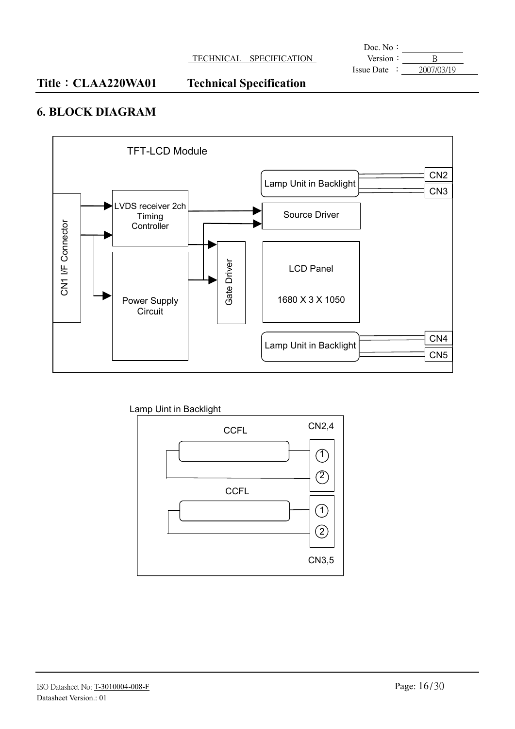**Doc.** No: Version  $\frac{\cdot}{\cdot}$  B<br>Issue Date  $\cdot \frac{\cdot}{\cdot}$   $\frac{B}{\cdot}$ 

#### Title: CLAA220WA01 Technical Specification

#### **6. BLOCK DIAGRAM**



Lamp Uint in Backlight

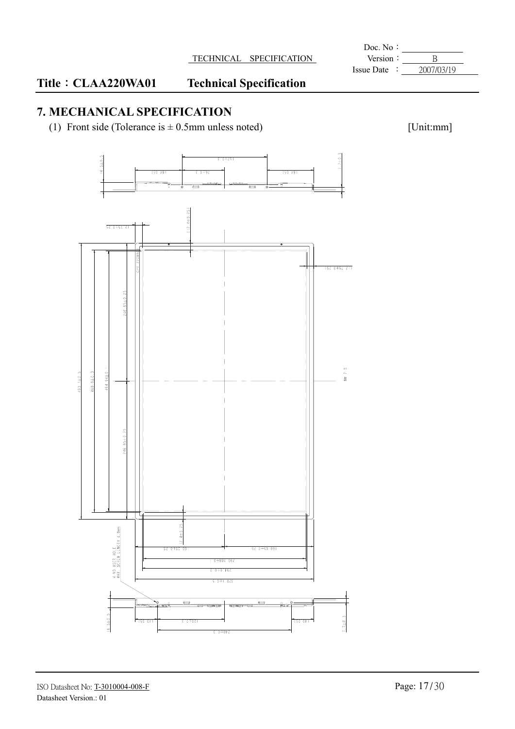#### TECHNICAL SPECIFICATION **Version**: B

## Title : CLAA220WA01 Technical Specification

### **7. MECHANICAL SPECIFICATION**

(1) Front side (Tolerance is  $\pm$  0.5mm unless noted) [Unit:mm]



## **Doc.** No: Issue Date : 2007/03/19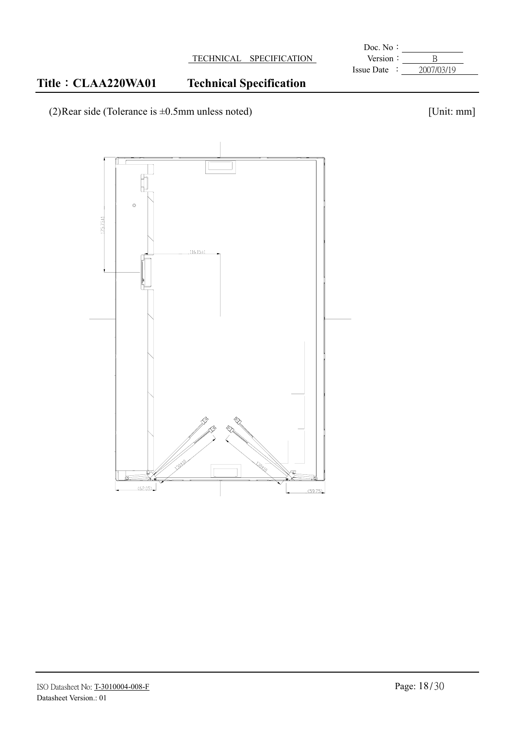#### **Doc.** No: TECHNICAL SPECIFICATION Version : B

Issue Date : 2007/03/19

### Title: CLAA220WA01 Technical Specification

(2)Rear side (Tolerance is  $\pm 0.5$ mm unless noted) [Unit: mm]

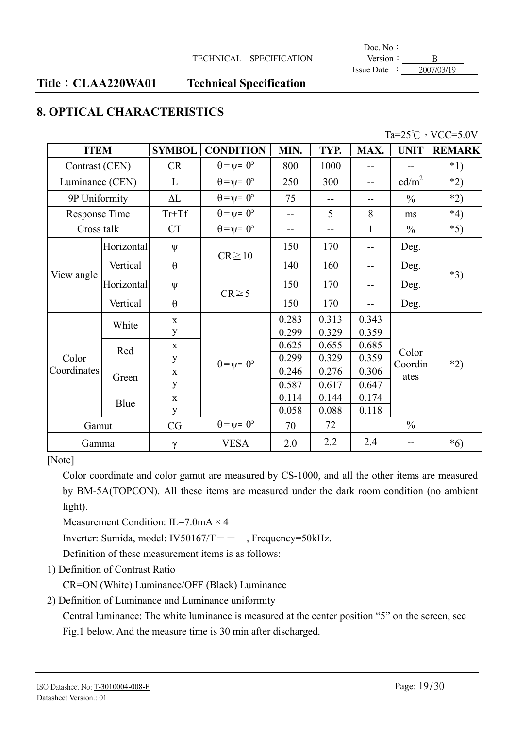**Doc.** No: Issue Date : 2007/03/19

#### Title: CLAA220WA01 Technical Specification

#### **8. OPTICAL CHARACTERISTICS**

| Ta= $25^{\circ}$ C $\cdot$ VCC=5.0V |
|-------------------------------------|
|                                     |

|                 | <b>SYMBOL</b><br><b>ITEM</b> |              | <b>CONDITION</b>            | MIN.  | TYP.  | MAX.         | <b>UNIT</b>       | <b>REMARK</b> |  |
|-----------------|------------------------------|--------------|-----------------------------|-------|-------|--------------|-------------------|---------------|--|
| Contrast (CEN)  |                              | <b>CR</b>    | $\theta = \psi = 0^{\circ}$ | 800   | 1000  | --           |                   | $*1)$         |  |
| Luminance (CEN) |                              | L            | $\theta = \psi = 0^{\circ}$ | 250   | 300   | $-$          | cd/m <sup>2</sup> | $*2)$         |  |
| 9P Uniformity   |                              | $\Delta L$   | $\theta = \psi = 0^{\circ}$ | 75    | --    | --           | $\frac{0}{0}$     | $*2)$         |  |
| Response Time   |                              | $Tr+Tf$      | $\theta = \psi = 0^{\circ}$ | $-$   | 5     | 8            | ms                | $*4)$         |  |
| Cross talk      |                              | <b>CT</b>    | $\theta = \psi = 0^{\circ}$ |       |       | $\mathbf{1}$ | $\frac{0}{0}$     | $*5)$         |  |
|                 | Horizontal                   | $\Psi$       |                             | 150   | 170   | --           | Deg.              |               |  |
|                 | Vertical<br>$\theta$         | $CR \geq 10$ | 140                         | 160   | --    | Deg.         | $*3)$             |               |  |
| View angle      | Horizontal                   | $\Psi$       | $CR \ge 5$                  | 150   | 170   | --           | Deg.              |               |  |
|                 | Vertical                     | $\theta$     |                             | 150   | 170   | --           | Deg.              |               |  |
|                 | White                        | $\mathbf X$  |                             | 0.283 | 0.313 | 0.343        |                   |               |  |
|                 |                              | $\mathbf{y}$ |                             | 0.299 | 0.329 | 0.359        |                   |               |  |
|                 | Red                          | $\mathbf X$  |                             | 0.625 | 0.655 | 0.685        |                   |               |  |
| Color           |                              | y            | $\theta = \psi = 0^{\circ}$ | 0.299 | 0.329 | 0.359        | Color<br>Coordin  | $*2)$         |  |
| Coordinates     |                              | $\mathbf X$  |                             | 0.246 | 0.276 | 0.306        | ates              |               |  |
|                 | Green                        | y            |                             | 0.587 | 0.617 | 0.647        |                   |               |  |
|                 |                              | $\mathbf X$  |                             | 0.114 | 0.144 | 0.174        |                   |               |  |
|                 | Blue                         | y            |                             | 0.058 | 0.088 | 0.118        |                   |               |  |
| Gamut           |                              | CG           | $\theta = \psi = 0^{\circ}$ | 70    | 72    |              | $\frac{0}{0}$     |               |  |
| Gamma           |                              | $\gamma$     | <b>VESA</b>                 | 2.0   | 2.2   | 2.4          |                   | $*6)$         |  |

[Note]

Color coordinate and color gamut are measured by CS-1000, and all the other items are measured by BM-5A(TOPCON). All these items are measured under the dark room condition (no ambient light).

Measurement Condition: IL=7.0mA  $\times$  4

Inverter: Sumida, model: IV50167/T –  $-$ , Frequency=50kHz.

Definition of these measurement items is as follows:

1) Definition of Contrast Ratio

CR=ON (White) Luminance/OFF (Black) Luminance

2) Definition of Luminance and Luminance uniformity

Central luminance: The white luminance is measured at the center position "5" on the screen, see Fig.1 below. And the measure time is 30 min after discharged.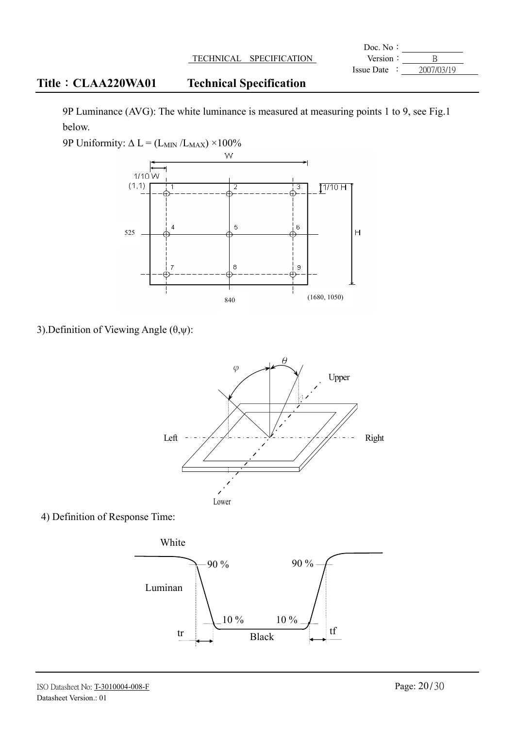|                            |                                | Doc. No:        |            |
|----------------------------|--------------------------------|-----------------|------------|
|                            | TECHNICAL SPECIFICATION        | Version:        |            |
|                            |                                | $I$ ssue Date : | 2007/03/19 |
| <b>Title : CLAA220WA01</b> | <b>Technical Specification</b> |                 |            |

9P Luminance (AVG): The white luminance is measured at measuring points 1 to 9, see Fig.1 below.

9P Uniformity:  $\Delta L = (L_{MIN}/L_{MAX}) \times 100\%$ 



3). Definition of Viewing Angle  $(\theta, \psi)$ :



4) Definition of Response Time:

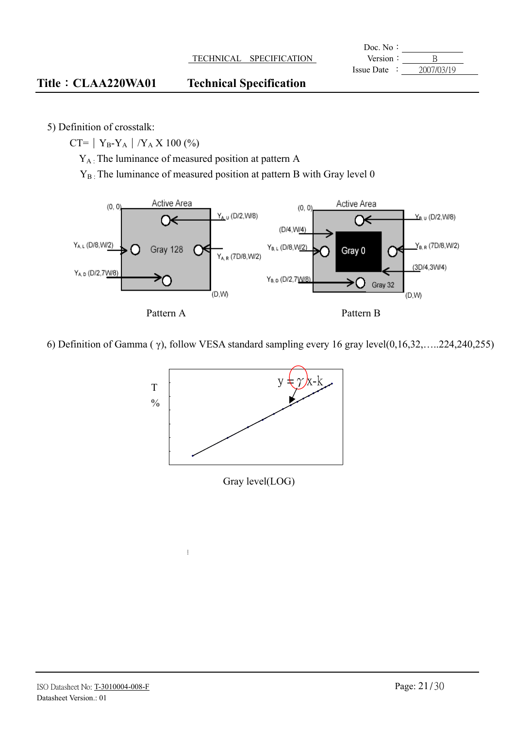|            | Doc. No:          |                      |                  |
|------------|-------------------|----------------------|------------------|
|            | Version           | <b>SPECIFICATION</b> | <b>TECHNICAL</b> |
| 2007/03/19 | <b>Issue Date</b> |                      |                  |

#### Title CLAA220WA01 Technical Specification

5) Definition of crosstalk:

CT= |  $Y_B-Y_A$  |  $/Y_A X 100 (\%)$ 

YA : The luminance of measured position at pattern A

 $\mathbf{i}$ 

 $Y_{B}$ : The luminance of measured position at pattern B with Gray level 0



#### 6) Definition of Gamma ( $\gamma$ ), follow VESA standard sampling every 16 gray level $(0,16,32,....224,240,255)$



Gray level(LOG)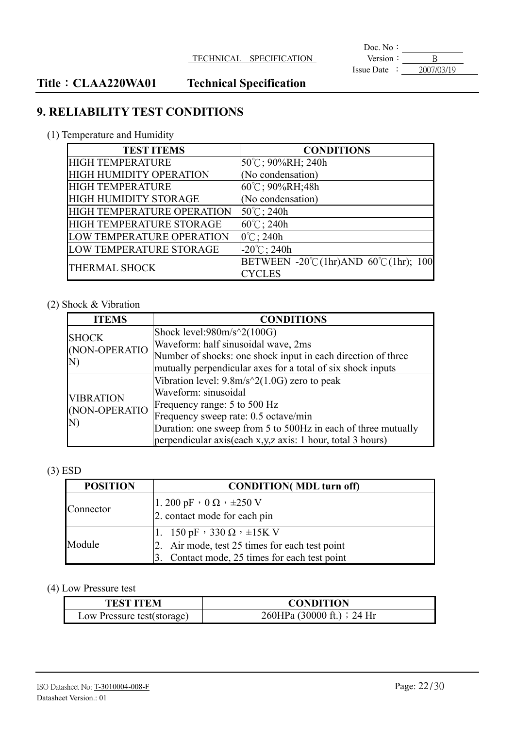**Doc.** No: Version  $\frac{\cdot}{\cdot}$  B<br>Issue Date  $\cdot \frac{\cdot}{\cdot}$   $\frac{B}{2007/03/19}$ 

### Title: CLAA220WA01 Technical Specification

### **9. RELIABILITY TEST CONDITIONS**

(1) Temperature and Humidity

| <b>TEST ITEMS</b>              | <b>CONDITIONS</b>                              |
|--------------------------------|------------------------------------------------|
| <b>HIGH TEMPERATURE</b>        | 50°C; 90%RH; 240h                              |
| <b>HIGH HUMIDITY OPERATION</b> | (No condensation)                              |
| <b>HIGH TEMPERATURE</b>        | $60^{\circ}$ C; 90%RH; 48h                     |
| <b>HIGH HUMIDITY STORAGE</b>   | (No condensation)                              |
| HIGH TEMPERATURE OPERATION     | $50^{\circ}$ C; 240h                           |
| HIGH TEMPERATURE STORAGE       | $60^{\circ}$ C; 240h                           |
| LOW TEMPERATURE OPERATION      | $0^{\circ}$ C; 240h                            |
| LOW TEMPERATURE STORAGE        | $-20^{\circ}$ C; 240h                          |
| <b>THERMAL SHOCK</b>           | BETWEEN -20°C(1hr)AND $60^{\circ}$ C(1hr); 100 |
|                                | CYCLES                                         |

#### (2) Shock & Vibration

| <b>ITEMS</b>     | <b>CONDITIONS</b>                                             |
|------------------|---------------------------------------------------------------|
| <b>SHOCK</b>     | Shock level: $980m/s^2(100G)$                                 |
| (NON-OPERATIO    | Waveform: half sinusoidal wave, 2ms                           |
|                  | Number of shocks: one shock input in each direction of three  |
| N)               | mutually perpendicular axes for a total of six shock inputs   |
|                  | Vibration level: $9.8m/s^2(1.0G)$ zero to peak                |
| <b>VIBRATION</b> | Waveform: sinusoidal                                          |
| (NON-OPERATIO    | Frequency range: 5 to 500 Hz                                  |
|                  | Frequency sweep rate: 0.5 octave/min                          |
| N)               | Duration: one sweep from 5 to 500Hz in each of three mutually |
|                  | perpendicular axis(each x,y,z axis: 1 hour, total 3 hours)    |

#### (3) ESD

| <b>POSITION</b> | <b>CONDITION</b> (MDL turn off)                                     |
|-----------------|---------------------------------------------------------------------|
| Connector       | $1.200 \,\mathrm{pF} \cdot 0 \,\Omega \cdot \pm 250 \,\mathrm{V}$   |
|                 | 2. contact mode for each pin                                        |
| Module          | $1. 150 \text{ pF} \cdot 330 \Omega \cdot \pm 15 \text{K} \text{V}$ |
|                 | 2. Air mode, test 25 times for each test point                      |
|                 | 3. Contact mode, 25 times for each test point                       |

#### (4) Low Pressure test

| <b>TEST ITEM</b>           | <b>CONDITION</b>           |
|----------------------------|----------------------------|
| Low Pressure test(storage) | 260HPa (30000 ft.) : 24 Hr |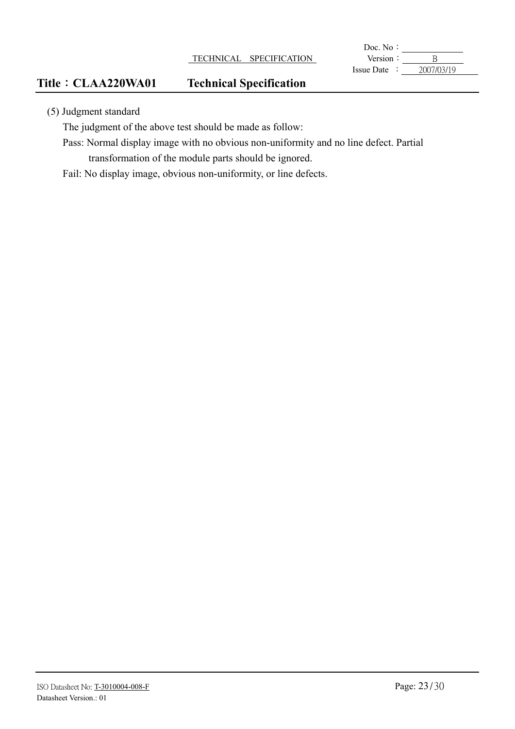**Doc.** No: Version  $\frac{\cdot}{\cdot}$  B<br>Issue Date  $\cdot \frac{\cdot}{\cdot}$   $\frac{B}{2007/03/19}$ 

#### Title: CLAA220WA01 Technical Specification

(5) Judgment standard

The judgment of the above test should be made as follow:

Pass: Normal display image with no obvious non-uniformity and no line defect. Partial transformation of the module parts should be ignored.

Fail: No display image, obvious non-uniformity, or line defects.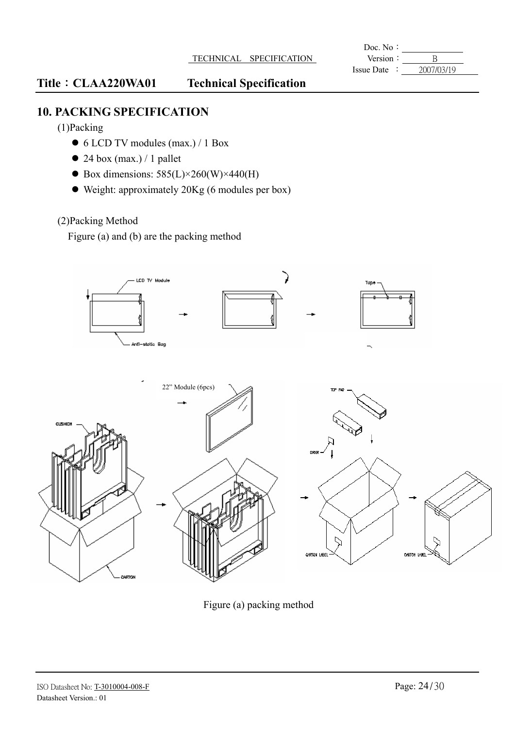**Doc.** No: Issue Date :  $2007/03/19$ 

#### Title: CLAA220WA01 Technical Specification

### **10. PACKING SPECIFICATION**

(1)Packing

- 6 LCD TV modules (max.) / 1 Box
- $\bullet$  24 box (max.) / 1 pallet
- Box dimensions:  $585(L) \times 260(W) \times 440(H)$
- Weight: approximately 20Kg (6 modules per box)

#### (2)Packing Method

Figure (a) and (b) are the packing method



Figure (a) packing method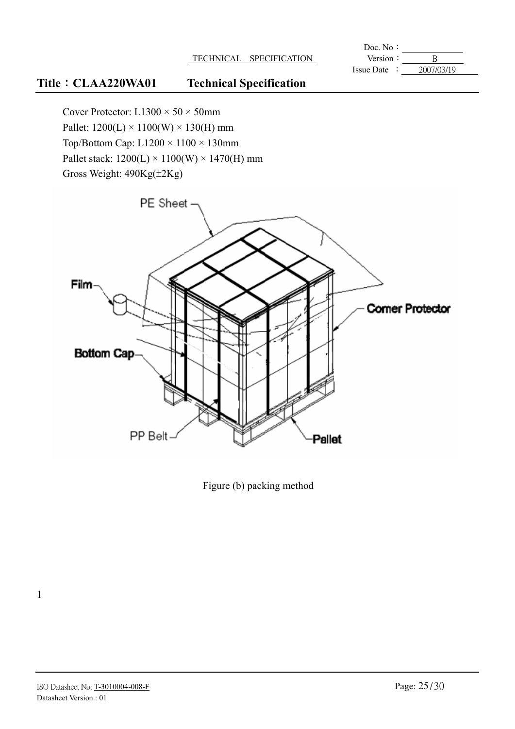**Doc.** No: Version  $: \frac{\overline{B}}{\frac{\overline{B}}{\frac{1}{2007}}}}$ <br>Issue Date  $: \frac{2007/03/19}{\frac{1}{2007}}$ 

### Title: CLAA220WA01 Technical Specification

Cover Protector:  $L1300 \times 50 \times 50$ mm Pallet:  $1200(L) \times 1100(W) \times 130(H)$  mm Top/Bottom Cap:  $L1200 \times 1100 \times 130$ mm Pallet stack:  $1200(L) \times 1100(W) \times 1470(H)$  mm Gross Weight: 490Kg( $\pm$ 2Kg)



Figure (b) packing method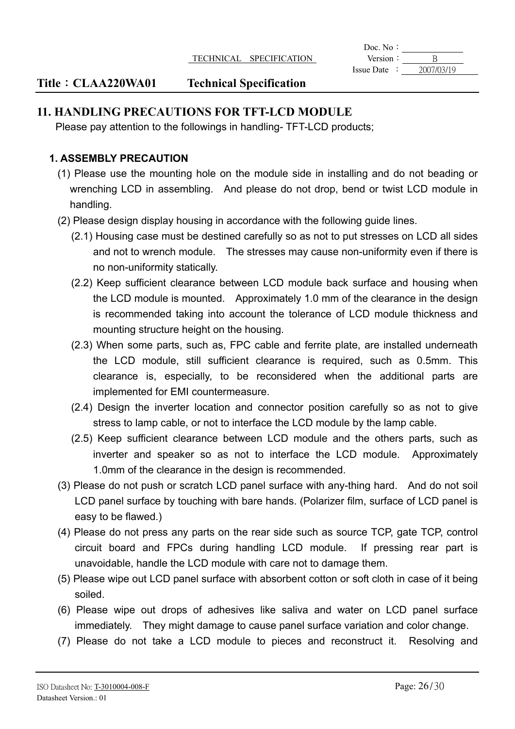**Doc.** No: Issue Date :  $2007/03/19$ 

#### Title: CLAA220WA01 Technical Specification

#### **11. HANDLING PRECAUTIONS FOR TFT-LCD MODULE**

Please pay attention to the followings in handling- TFT-LCD products;

#### **1. ASSEMBLY PRECAUTION**

- (1) Please use the mounting hole on the module side in installing and do not beading or wrenching LCD in assembling. And please do not drop, bend or twist LCD module in handling.
- (2) Please design display housing in accordance with the following guide lines.
	- (2.1) Housing case must be destined carefully so as not to put stresses on LCD all sides and not to wrench module. The stresses may cause non-uniformity even if there is no non-uniformity statically.
	- (2.2) Keep sufficient clearance between LCD module back surface and housing when the LCD module is mounted. Approximately 1.0 mm of the clearance in the design is recommended taking into account the tolerance of LCD module thickness and mounting structure height on the housing.
	- (2.3) When some parts, such as, FPC cable and ferrite plate, are installed underneath the LCD module, still sufficient clearance is required, such as 0.5mm. This clearance is, especially, to be reconsidered when the additional parts are implemented for EMI countermeasure.
	- (2.4) Design the inverter location and connector position carefully so as not to give stress to lamp cable, or not to interface the LCD module by the lamp cable.
	- (2.5) Keep sufficient clearance between LCD module and the others parts, such as inverter and speaker so as not to interface the LCD module. Approximately 1.0mm of the clearance in the design is recommended.
- (3) Please do not push or scratch LCD panel surface with any-thing hard. And do not soil LCD panel surface by touching with bare hands. (Polarizer film, surface of LCD panel is easy to be flawed.)
- (4) Please do not press any parts on the rear side such as source TCP, gate TCP, control circuit board and FPCs during handling LCD module. If pressing rear part is unavoidable, handle the LCD module with care not to damage them.
- (5) Please wipe out LCD panel surface with absorbent cotton or soft cloth in case of it being soiled.
- (6) Please wipe out drops of adhesives like saliva and water on LCD panel surface immediately. They might damage to cause panel surface variation and color change.
- (7) Please do not take a LCD module to pieces and reconstruct it. Resolving and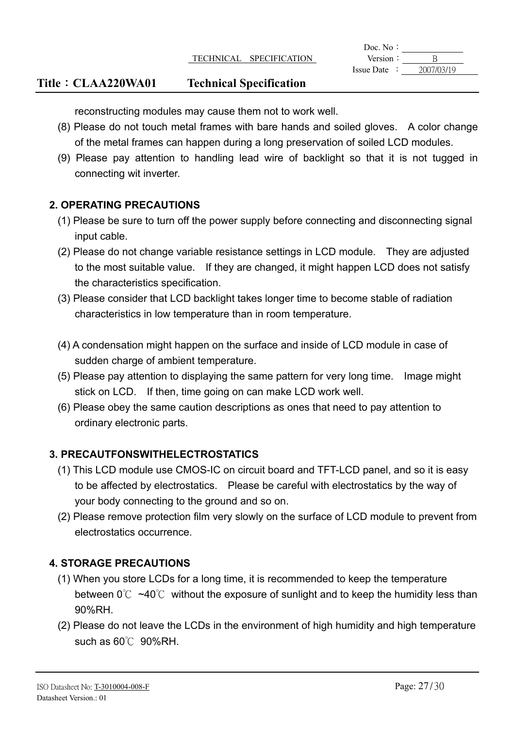#### TECHNICAL SPECIFICATION **Version**: B

**Doc.** No: Issue Date :  $2007/03/19$ 

#### Title: CLAA220WA01 Technical Specification

reconstructing modules may cause them not to work well.

- (8) Please do not touch metal frames with bare hands and soiled gloves. A color change of the metal frames can happen during a long preservation of soiled LCD modules.
- (9) Please pay attention to handling lead wire of backlight so that it is not tugged in connecting wit inverter.

#### **2. OPERATING PRECAUTIONS**

- (1) Please be sure to turn off the power supply before connecting and disconnecting signal input cable.
- (2) Please do not change variable resistance settings in LCD module. They are adjusted to the most suitable value. If they are changed, it might happen LCD does not satisfy the characteristics specification.
- (3) Please consider that LCD backlight takes longer time to become stable of radiation characteristics in low temperature than in room temperature.
- (4) A condensation might happen on the surface and inside of LCD module in case of sudden charge of ambient temperature.
- (5) Please pay attention to displaying the same pattern for very long time. Image might stick on LCD. If then, time going on can make LCD work well.
- (6) Please obey the same caution descriptions as ones that need to pay attention to ordinary electronic parts.

#### **3. PRECAUTFONSWITHELECTROSTATICS**

- (1) This LCD module use CMOS-IC on circuit board and TFT-LCD panel, and so it is easy to be affected by electrostatics. Please be careful with electrostatics by the way of your body connecting to the ground and so on.
- (2) Please remove protection film very slowly on the surface of LCD module to prevent from electrostatics occurrence.

#### **4. STORAGE PRECAUTIONS**

- (1) When you store LCDs for a long time, it is recommended to keep the temperature between  $0^{\circ}\text{C}$  ~40°C without the exposure of sunlight and to keep the humidity less than 90%RH.
- (2) Please do not leave the LCDs in the environment of high humidity and high temperature such as  $60^{\circ}$  90%RH.